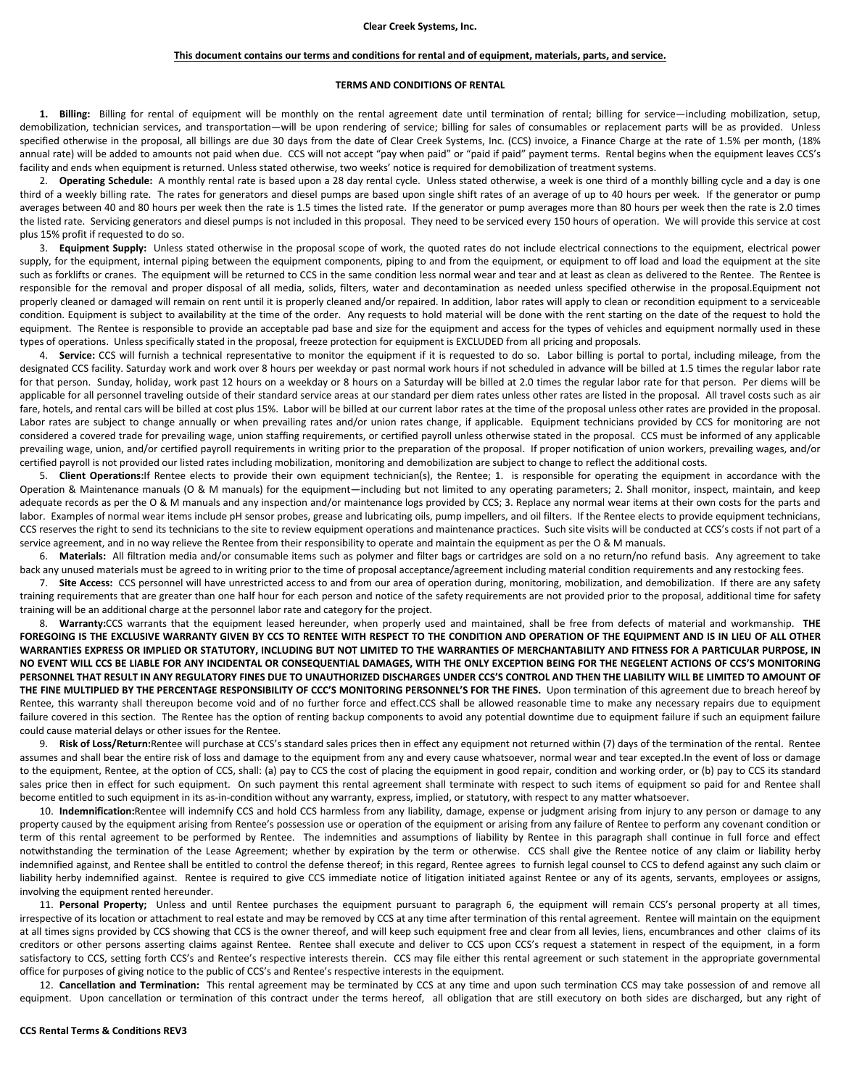## **Clear Creek Systems, Inc.**

## **This document contains our terms and conditions for rental and of equipment, materials, parts, and service.**

## **TERMS AND CONDITIONS OF RENTAL**

**1. Billing:** Billing for rental of equipment will be monthly on the rental agreement date until termination of rental; billing for service—including mobilization, setup, demobilization, technician services, and transportation—will be upon rendering of service; billing for sales of consumables or replacement parts will be as provided. Unless specified otherwise in the proposal, all billings are due 30 days from the date of Clear Creek Systems, Inc. (CCS) invoice, a Finance Charge at the rate of 1.5% per month, (18% annual rate) will be added to amounts not paid when due. CCS will not accept "pay when paid" or "paid if paid" payment terms. Rental begins when the equipment leaves CCS's facility and ends when equipment is returned. Unless stated otherwise, two weeks' notice is required for demobilization of treatment systems.

2. **Operating Schedule:** A monthly rental rate is based upon a 28 day rental cycle. Unless stated otherwise, a week is one third of a monthly billing cycle and a day is one third of a weekly billing rate. The rates for generators and diesel pumps are based upon single shift rates of an average of up to 40 hours per week. If the generator or pump averages between 40 and 80 hours per week then the rate is 1.5 times the listed rate. If the generator or pump averages more than 80 hours per week then the rate is 2.0 times the listed rate. Servicing generators and diesel pumps is not included in this proposal. They need to be serviced every 150 hours of operation. We will provide this service at cost plus 15% profit if requested to do so.

3. **Equipment Supply:** Unless stated otherwise in the proposal scope of work, the quoted rates do not include electrical connections to the equipment, electrical power supply, for the equipment, internal piping between the equipment components, piping to and from the equipment, or equipment to off load and load the equipment at the site such as forklifts or cranes. The equipment will be returned to CCS in the same condition less normal wear and tear and at least as clean as delivered to the Rentee. The Rentee is responsible for the removal and proper disposal of all media, solids, filters, water and decontamination as needed unless specified otherwise in the proposal.Equipment not properly cleaned or damaged will remain on rent until it is properly cleaned and/or repaired. In addition, labor rates will apply to clean or recondition equipment to a serviceable condition. Equipment is subject to availability at the time of the order. Any requests to hold material will be done with the rent starting on the date of the request to hold the equipment. The Rentee is responsible to provide an acceptable pad base and size for the equipment and access for the types of vehicles and equipment normally used in these types of operations. Unless specifically stated in the proposal, freeze protection for equipment is EXCLUDED from all pricing and proposals.

4. Service: CCS will furnish a technical representative to monitor the equipment if it is requested to do so. Labor billing is portal to portal, including mileage, from the designated CCS facility. Saturday work and work over 8 hours per weekday or past normal work hours if not scheduled in advance will be billed at 1.5 times the regular labor rate for that person. Sunday, holiday, work past 12 hours on a weekday or 8 hours on a Saturday will be billed at 2.0 times the regular labor rate for that person. Per diems will be applicable for all personnel traveling outside of their standard service areas at our standard per diem rates unless other rates are listed in the proposal. All travel costs such as air fare, hotels, and rental cars will be billed at cost plus 15%. Labor will be billed at our current labor rates at the time of the proposal unless other rates are provided in the proposal. Labor rates are subject to change annually or when prevailing rates and/or union rates change, if applicable. Equipment technicians provided by CCS for monitoring are not considered a covered trade for prevailing wage, union staffing requirements, or certified payroll unless otherwise stated in the proposal. CCS must be informed of any applicable prevailing wage, union, and/or certified payroll requirements in writing prior to the preparation of the proposal. If proper notification of union workers, prevailing wages, and/or certified payroll is not provided our listed rates including mobilization, monitoring and demobilization are subject to change to reflect the additional costs.

5. **Client Operations:**If Rentee elects to provide their own equipment technician(s), the Rentee; 1. is responsible for operating the equipment in accordance with the Operation & Maintenance manuals (O & M manuals) for the equipment—including but not limited to any operating parameters; 2. Shall monitor, inspect, maintain, and keep adequate records as per the O & M manuals and any inspection and/or maintenance logs provided by CCS; 3. Replace any normal wear items at their own costs for the parts and labor. Examples of normal wear items include pH sensor probes, grease and lubricating oils, pump impellers, and oil filters. If the Rentee elects to provide equipment technicians, CCS reserves the right to send its technicians to the site to review equipment operations and maintenance practices. Such site visits will be conducted at CCS's costs if not part of a service agreement, and in no way relieve the Rentee from their responsibility to operate and maintain the equipment as per the O & M manuals.

6. **Materials:** All filtration media and/or consumable items such as polymer and filter bags or cartridges are sold on a no return/no refund basis. Any agreement to take back any unused materials must be agreed to in writing prior to the time of proposal acceptance/agreement including material condition requirements and any restocking fees.

7. **Site Access:** CCS personnel will have unrestricted access to and from our area of operation during, monitoring, mobilization, and demobilization. If there are any safety training requirements that are greater than one half hour for each person and notice of the safety requirements are not provided prior to the proposal, additional time for safety training will be an additional charge at the personnel labor rate and category for the project.

8. **Warranty:**CCS warrants that the equipment leased hereunder, when properly used and maintained, shall be free from defects of material and workmanship. **THE FOREGOING IS THE EXCLUSIVE WARRANTY GIVEN BY CCS TO RENTEE WITH RESPECT TO THE CONDITION AND OPERATION OF THE EQUIPMENT AND IS IN LIEU OF ALL OTHER WARRANTIES EXPRESS OR IMPLIED OR STATUTORY, INCLUDING BUT NOT LIMITED TO THE WARRANTIES OF MERCHANTABILITY AND FITNESS FOR A PARTICULAR PURPOSE, IN NO EVENT WILL CCS BE LIABLE FOR ANY INCIDENTAL OR CONSEQUENTIAL DAMAGES, WITH THE ONLY EXCEPTION BEING FOR THE NEGELENT ACTIONS OF CCS'S MONITORING PERSONNEL THAT RESULT IN ANY REGULATORY FINES DUE TO UNAUTHORIZED DISCHARGES UNDER CCS'S CONTROL AND THEN THE LIABILITY WILL BE LIMITED TO AMOUNT OF THE FINE MULTIPLIED BY THE PERCENTAGE RESPONSIBILITY OF CCC'S MONITORING PERSONNEL'S FOR THE FINES.** Upon termination of this agreement due to breach hereof by Rentee, this warranty shall thereupon become void and of no further force and effect.CCS shall be allowed reasonable time to make any necessary repairs due to equipment failure covered in this section. The Rentee has the option of renting backup components to avoid any potential downtime due to equipment failure if such an equipment failure could cause material delays or other issues for the Rentee.

9. **Risk of Loss/Return:**Rentee will purchase at CCS's standard sales prices then in effect any equipment not returned within (7) days of the termination of the rental. Rentee assumes and shall bear the entire risk of loss and damage to the equipment from any and every cause whatsoever, normal wear and tear excepted.In the event of loss or damage to the equipment, Rentee, at the option of CCS, shall: (a) pay to CCS the cost of placing the equipment in good repair, condition and working order, or (b) pay to CCS its standard sales price then in effect for such equipment. On such payment this rental agreement shall terminate with respect to such items of equipment so paid for and Rentee shall become entitled to such equipment in its as-in-condition without any warranty, express, implied, or statutory, with respect to any matter whatsoever.

10. **Indemnification:**Rentee will indemnify CCS and hold CCS harmless from any liability, damage, expense or judgment arising from injury to any person or damage to any property caused by the equipment arising from Rentee's possession use or operation of the equipment or arising from any failure of Rentee to perform any covenant condition or term of this rental agreement to be performed by Rentee. The indemnities and assumptions of liability by Rentee in this paragraph shall continue in full force and effect notwithstanding the termination of the Lease Agreement; whether by expiration by the term or otherwise. CCS shall give the Rentee notice of any claim or liability herby indemnified against, and Rentee shall be entitled to control the defense thereof; in this regard, Rentee agrees to furnish legal counsel to CCS to defend against any such claim or liability herby indemnified against. Rentee is required to give CCS immediate notice of litigation initiated against Rentee or any of its agents, servants, employees or assigns, involving the equipment rented hereunder.

11. Personal Property; Unless and until Rentee purchases the equipment pursuant to paragraph 6, the equipment will remain CCS's personal property at all times, irrespective of its location or attachment to real estate and may be removed by CCS at any time after termination of this rental agreement. Rentee will maintain on the equipment at all times signs provided by CCS showing that CCS is the owner thereof, and will keep such equipment free and clear from all levies, liens, encumbrances and other claims of its creditors or other persons asserting claims against Rentee. Rentee shall execute and deliver to CCS upon CCS's request a statement in respect of the equipment, in a form satisfactory to CCS, setting forth CCS's and Rentee's respective interests therein. CCS may file either this rental agreement or such statement in the appropriate governmental office for purposes of giving notice to the public of CCS's and Rentee's respective interests in the equipment.

12. **Cancellation and Termination:** This rental agreement may be terminated by CCS at any time and upon such termination CCS may take possession of and remove all equipment. Upon cancellation or termination of this contract under the terms hereof, all obligation that are still executory on both sides are discharged, but any right of